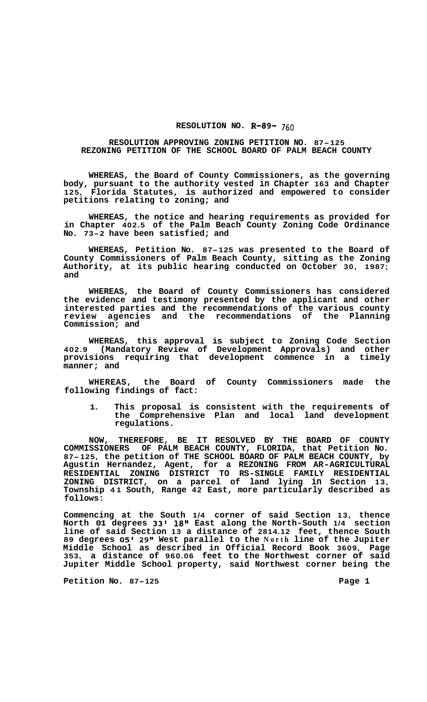## **RESOLUTION NO. R-89-** 760

## **RESOLUTION APPROVING ZONING PETITION NO. 87-125 REZONING PETITION OF THE SCHOOL BOARD OF PALM BEACH COUNTY**

**WHEREAS, the Board of County Commissioners, as the governing body, pursuant to the authority vested in Chapter 163 and Chapter 125, Florida Statutes, is authorized and empowered to consider petitions relating to zoning; and** 

**WHEREAS, the notice and hearing requirements as provided for in Chapter 402.5 of the Palm Beach County Zoning Code Ordinance No. 73-2 have been satisfied; and** 

**WHEREAS, Petition No. 87-125 was presented to the Board of County Commissioners of Palm Beach County, sitting as the Zoning Authority, at its public hearing conducted on October 30, 1987; and** 

**WHEREAS, the Board of County Commissioners has considered the evidence and testimony presented by the applicant and other interested parties and the recommendations of the various county review agencies and the recommendations of the Planning Commission; and** 

**WHEREAS, this approval is subject to Zoning Code Section 402.9 (Mandatory Review of Development Approvals) and other provisions requiring that development commence in a timely manner; and** 

**WHEREAS, the Board of County Commissioners made the following findings of fact:** 

**1. This proposal is consistent with the requirements of the Comprehensive Plan and local land development regulations.** 

**NOW, THEREFORE, BE IT RESOLVED BY THE BOARD OF COUNTY COMMISSIONERS OF PALM BEACH COUNTY, FLORIDA, that Petition No. 87-125, the petition of THE SCHOOL BOARD OF PALM BEACH COUNTY, by Agustin Hernandez, Agent, for a REZONING FROM AR-AGRICULTURAL ZONING DISTRICT, on a parcel of land lying in Section 13, Township 41 South, Range 42 East, more particularly described as follows: RESIDENTIAL ZONING DISTRICT TO RS-SINGLE FAMILY RESIDENTIAL** 

**Commencing at the South 1/4 corner of said Section 13, thence North 01 degrees 33' 18l\* East along the North-South 1/4 section line of said Section 13 a distance of 2814.12 feet, thence South 89 degrees 05' 29Il West parallel to the North line of the Jupiter Middle School as described in Official Record Book 3609, Page 353, a distance of 960.06 feet to the Northwest corner of said Jupiter Middle School property, said Northwest corner being the** 

**Petition No. 87-125 Page 1**